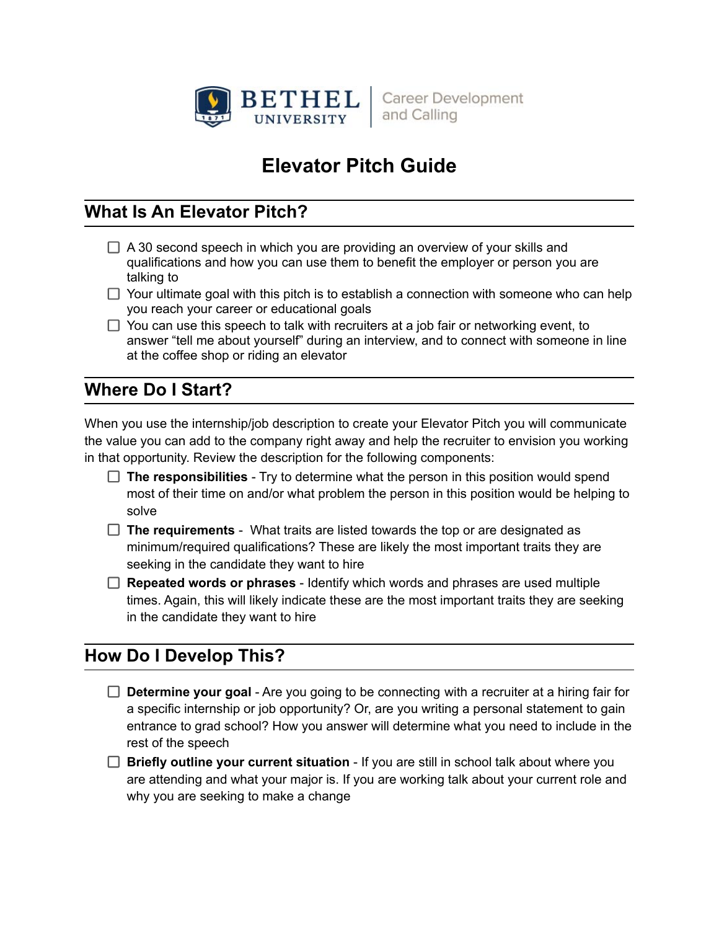

**Career Development** and Calling

# **Elevator Pitch Guide**

## **What Is An Elevator Pitch?**

- $\Box$  A 30 second speech in which you are providing an overview of your skills and qualifications and how you can use them to benefit the employer or person you are talking to
- $\Box$  Your ultimate goal with this pitch is to establish a connection with someone who can help you reach your career or educational goals
- $\Box$  You can use this speech to talk with recruiters at a job fair or networking event, to answer "tell me about yourself" during an interview, and to connect with someone in line at the coffee shop or riding an elevator

## **Where Do I Start?**

When you use the internship/job description to create your Elevator Pitch you will communicate the value you can add to the company right away and help the recruiter to envision you working in that opportunity. Review the description for the following components:

- □ The responsibilities Try to determine what the person in this position would spend most of their time on and/or what problem the person in this position would be helping to solve
- **The requirements** What traits are listed towards the top or are designated as minimum/required qualifications? These are likely the most important traits they are seeking in the candidate they want to hire
- **Repeated words or phrases** Identify which words and phrases are used multiple times. Again, this will likely indicate these are the most important traits they are seeking in the candidate they want to hire

## **How Do I Develop This?**

- **Determine your goal** Are you going to be connecting with a recruiter at a hiring fair for a specific internship or job opportunity? Or, are you writing a personal statement to gain entrance to grad school? How you answer will determine what you need to include in the rest of the speech
- **Briefly outline your current situation** If you are still in school talk about where you are attending and what your major is. If you are working talk about your current role and why you are seeking to make a change